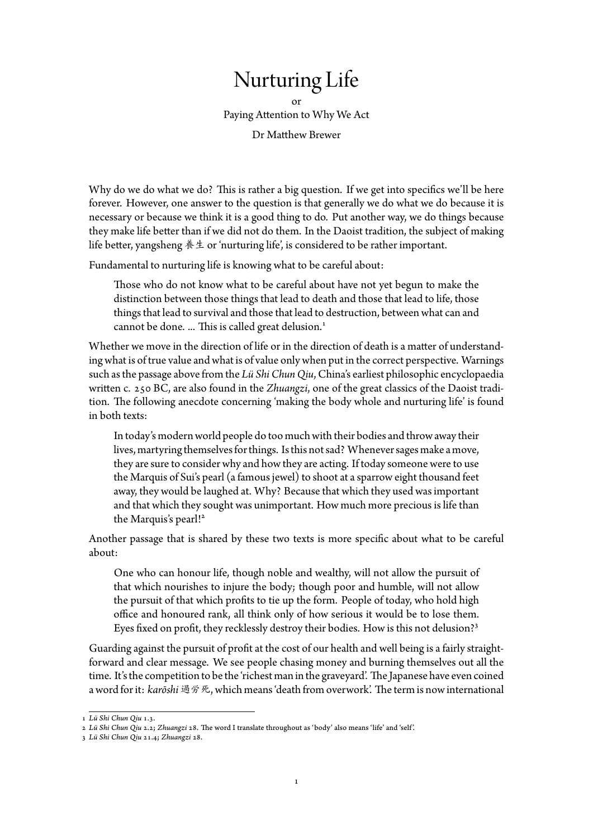## Nurturing Life

or Paying Attention to Why We Act Dr Matthew Brewer

Why do we do what we do? This is rather a big question. If we get into specifics we'll be here forever. However, one answer to the question is that generally we do what we do because it is necessary or because we think it is a good thing to do. Put another way, we do things because they make life better than if we did not do them. In the Daoist tradition, the subject of making life better, yangsheng 養生 or 'nurturing life', is considered to be rather important.

Fundamental to nurturing life is knowing what to be careful about:

Those who do not know what to be careful about have not yet begun to make the distinction between those things that lead to death and those that lead to life, those things that lead to survival and those that lead to destruction, between what can and cannot be done. ... This is called great delusion.<sup>1</sup>

Whether we move in the direction of life or in the direction of death is a matter of understanding what is of true value and what is of value only when put in the correct perspective. Warnings such as the passage above from the *Lü Shi Chun Qiu*, [C](#page-0-0)hina's earliest philosophic encyclopaedia written c. 250 BC, are also found in the *Zhuangzi*, one of the great classics of the Daoist tradition. The following anecdote concerning 'making the body whole and nurturing life' is found in both texts:

In today's modern world people do too much with their bodies and throw away their lives, martyring themselves for things. Is this not sad? Whenever sages make a move, they are sure to consider why and how they are acting. If today someone were to use the Marquis of Sui's pearl (a famous jewel) to shoot at a sparrow eight thousand feet away, they would be laughed at. Why? Because that which they used was important and that which they sought was unimportant. How much more precious is life than the Marquis's pearl!<sup>2</sup>

Another passage that is shared by these two texts is more specific about what to be careful about:

One who can hono[u](#page-0-1)r life, though noble and wealthy, will not allow the pursuit of that which nourishes to injure the body; though poor and humble, will not allow the pursuit of that which profits to tie up the form. People of today, who hold high office and honoured rank, all think only of how serious it would be to lose them. Eyes fixed on profit, they recklessly destroy their bodies. How is this not delusion?<sup>3</sup>

Guarding against the pursuit of profit at the cost of our health and well being is a fairly straightforward and clear message. We see people chasing money and burning themselves out all the time. It's the [co](#page-0-2)mpetition to be the 'richest man in the graveyard'. The Japanese have even coined a word for it: *karōshi* 過労死, which means 'death from overwork'. The term is now international

<sup>1</sup> *Lü Shi Chun Qiu* 1.3.

<sup>2</sup> *Lü Shi Chun Qiu* 2.2; *Zhuangzi* 28. The word I translate throughout as 'body' also means 'life' and 'self'.

<span id="page-0-2"></span><span id="page-0-1"></span><span id="page-0-0"></span><sup>3</sup> *Lü Shi Chun Qiu* 21.4; *Zhuangzi* 28.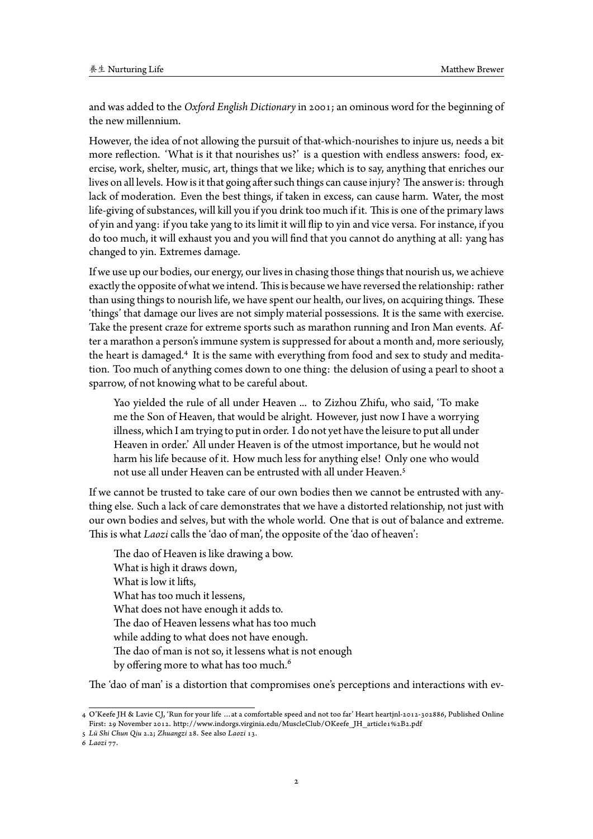and was added to the *Oxford English Dictionary*in 2001; an ominous word for the beginning of the new millennium.

However, the idea of not allowing the pursuit of that-which-nourishes to injure us, needs a bit more reflection. 'What is it that nourishes us?' is a question with endless answers: food, exercise, work, shelter, music, art, things that we like; which is to say, anything that enriches our lives on all levels. How is it that going after such things can cause injury? The answer is: through lack of moderation. Even the best things, if taken in excess, can cause harm. Water, the most life-giving of substances, will kill you if you drink too much if it. This is one of the primary laws of yin and yang: if you take yang to its limit it will flip to yin and vice versa. For instance, if you do too much, it will exhaust you and you will find that you cannot do anything at all: yang has changed to yin. Extremes damage.

If we use up our bodies, our energy, our lives in chasing those things that nourish us, we achieve exactlythe opposite of what we intend. This is because we have reversedthe relationship: rather than using things to nourish life, we have spent our health, our lives, on acquiring things. These 'things' that damage our lives are not simply material possessions. It is the same with exercise. Take the present craze for extreme sports such as marathon running and Iron Man events. After a marathon a person's immune system is suppressed for about a month and, more seriously, the heart is damaged.<sup>4</sup> It is the same with everything from food and sex to study and meditation. Too much of anything comes down to one thing: the delusion of using a pearl to shoot a sparrow, of not knowing what to be careful about.

Yao yielded the [r](#page-1-0)ule of all under Heaven ... to Zizhou Zhifu, who said, 'To make me the Son of Heaven, that would be alright. However, just now I have a worrying illness, which I am trying to put in order. I do not yet have the leisure to put all under Heaven in order.' All under Heaven is of the utmost importance, but he would not harm his life because of it. How much less for anything else! Only one who would not use all under Heaven can be entrusted with all under Heaven.<sup>5</sup>

If we cannot be trusted to take care of our own bodies then we cannot be entrusted with anything else. Such a lack of care demonstrates that we have a distorted relationship, not just with our own bodies and selves, but with the whole world. One that is out [of](#page-1-1) balance and extreme. This is what *Laozi* calls the 'dao of man', the opposite of the 'dao of heaven':

The dao of Heaven is like drawing a bow. What is high it draws down, What is low it lifts, What has too much it lessens, What does not have enough it adds to. The dao of Heaven lessens what has too much while adding to what does not have enough. The dao of man is not so, it lessens what is not enough by offering more to what has too much.<sup>6</sup>

The 'dao of man' is a distortion that compromises one's perceptions and interactions with ev-

<sup>4</sup> O'Keefe JH & Lavie CJ, 'Run for your life …at a comfortables[p](#page-1-2)eed and not too far' Heart heartjnl-2012-302886, Published Online First: 29 November 2012. http://www.indorgs.virginia.edu/MuscleClub/OKeefe\_JH\_article1%2B2.pdf

<sup>5</sup> *Lü Shi Chun Qiu* 2.2; *Zhuangzi* 28. See also *Laozi* 13.

<span id="page-1-2"></span><span id="page-1-1"></span><span id="page-1-0"></span><sup>6</sup> *Laozi* 77.